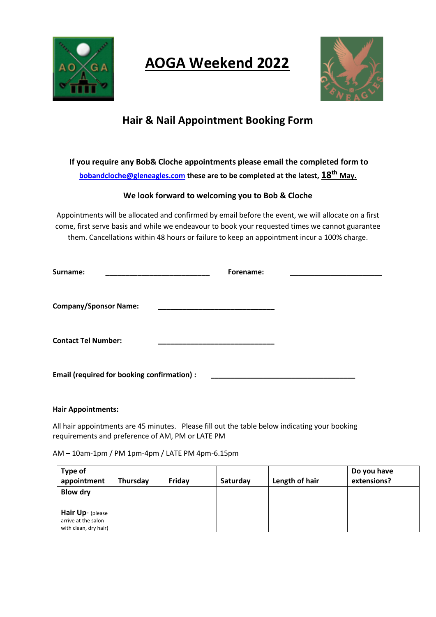

# **AOGA Weekend 2022**



# **Hair & Nail Appointment Booking Form**

**If you require any Bob& Cloche appointments please email the completed form to [bobandcloche@gleneagles.com](mailto:bobandcloche@gleneagles.com) these are to be completed at the latest, 18th May.**

# **We look forward to welcoming you to Bob & Cloche**

Appointments will be allocated and confirmed by email before the event, we will allocate on a first come, first serve basis and while we endeavour to book your requested times we cannot guarantee them. Cancellations within 48 hours or failure to keep an appointment incur a 100% charge.

| Surname:                                                                        | Forename: |  |
|---------------------------------------------------------------------------------|-----------|--|
| <b>Company/Sponsor Name:</b><br><u> 1990 - Johann John Stone, mars et al. (</u> |           |  |
| <b>Contact Tel Number:</b>                                                      |           |  |
| <b>Email (required for booking confirmation):</b>                               |           |  |

# **Hair Appointments:**

All hair appointments are 45 minutes. Please fill out the table below indicating your booking requirements and preference of AM, PM or LATE PM

AM – 10am-1pm / PM 1pm-4pm / LATE PM 4pm-6.15pm

| Type of<br>appointment                                           | <b>Thursday</b> | Friday | Saturday | Length of hair | Do you have<br>extensions? |
|------------------------------------------------------------------|-----------------|--------|----------|----------------|----------------------------|
| <b>Blow dry</b>                                                  |                 |        |          |                |                            |
| Hair Up- (please<br>arrive at the salon<br>with clean, dry hair) |                 |        |          |                |                            |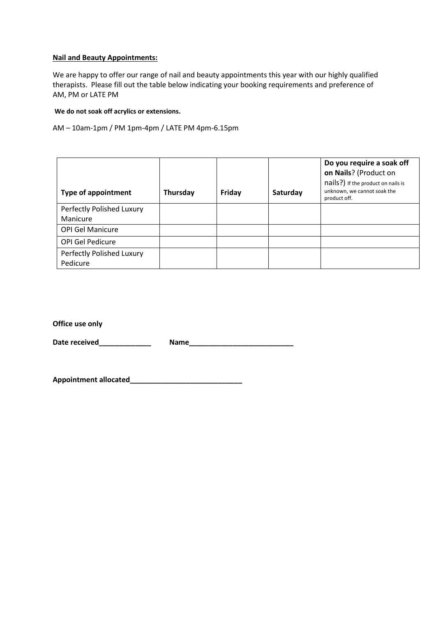# **Nail and Beauty Appointments:**

We are happy to offer our range of nail and beauty appointments this year with our highly qualified therapists. Please fill out the table below indicating your booking requirements and preference of AM, PM or LATE PM

**We do not soak off acrylics or extensions.**

AM – 10am-1pm / PM 1pm-4pm / LATE PM 4pm-6.15pm

| <b>Type of appointment</b>            | Thursday | Friday | Saturday | Do you require a soak off<br>on Nails? (Product on<br>nails?) If the product on nails is<br>unknown, we cannot soak the<br>product off. |
|---------------------------------------|----------|--------|----------|-----------------------------------------------------------------------------------------------------------------------------------------|
| Perfectly Polished Luxury             |          |        |          |                                                                                                                                         |
| Manicure                              |          |        |          |                                                                                                                                         |
| <b>OPI Gel Manicure</b>               |          |        |          |                                                                                                                                         |
| <b>OPI Gel Pedicure</b>               |          |        |          |                                                                                                                                         |
| Perfectly Polished Luxury<br>Pedicure |          |        |          |                                                                                                                                         |

**Office use only** 

Date received **Example 20 and 20 and 20 and 20 and 20 and 20 and 20 and 20 and 20 and 20 and 20 and 20 and 20 and 20 and 20 and 20 and 20 and 20 and 20 and 20 and 20 and 20 and 20 and 20 and 20 and 20 and 20 and 20 and 20** 

**Appointment allocated\_\_\_\_\_\_\_\_\_\_\_\_\_\_\_\_\_\_\_\_\_\_\_\_\_\_\_\_**